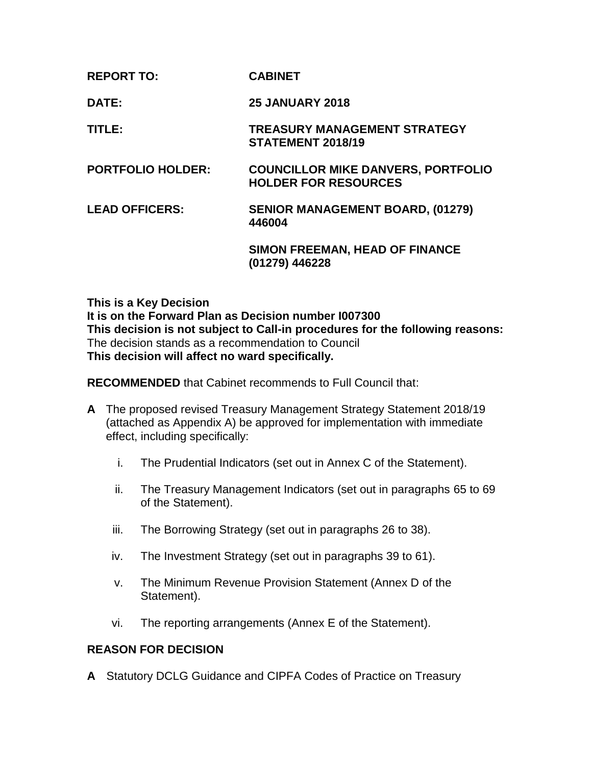| <b>CABINET</b> |
|----------------|
|                |

**DATE: 25 JANUARY 2018**

**TITLE: TREASURY MANAGEMENT STRATEGY STATEMENT 2018/19**

**PORTFOLIO HOLDER: COUNCILLOR MIKE DANVERS, PORTFOLIO HOLDER FOR RESOURCES**

#### **LEAD OFFICERS: SENIOR MANAGEMENT BOARD, (01279) 446004**

**SIMON FREEMAN, HEAD OF FINANCE (01279) 446228**

**This is a Key Decision It is on the Forward Plan as Decision number I007300 This decision is not subject to Call-in procedures for the following reasons:** The decision stands as a recommendation to Council **This decision will affect no ward specifically.** 

**RECOMMENDED** that Cabinet recommends to Full Council that:

- **A** The proposed revised Treasury Management Strategy Statement 2018/19 (attached as Appendix A) be approved for implementation with immediate effect, including specifically:
	- i. The Prudential Indicators (set out in Annex C of the Statement).
	- ii. The Treasury Management Indicators (set out in paragraphs 65 to 69 of the Statement).
	- iii. The Borrowing Strategy (set out in paragraphs 26 to 38).
	- iv. The Investment Strategy (set out in paragraphs 39 to 61).
	- v. The Minimum Revenue Provision Statement (Annex D of the Statement).
	- vi. The reporting arrangements (Annex E of the Statement).

## **REASON FOR DECISION**

**A** Statutory DCLG Guidance and CIPFA Codes of Practice on Treasury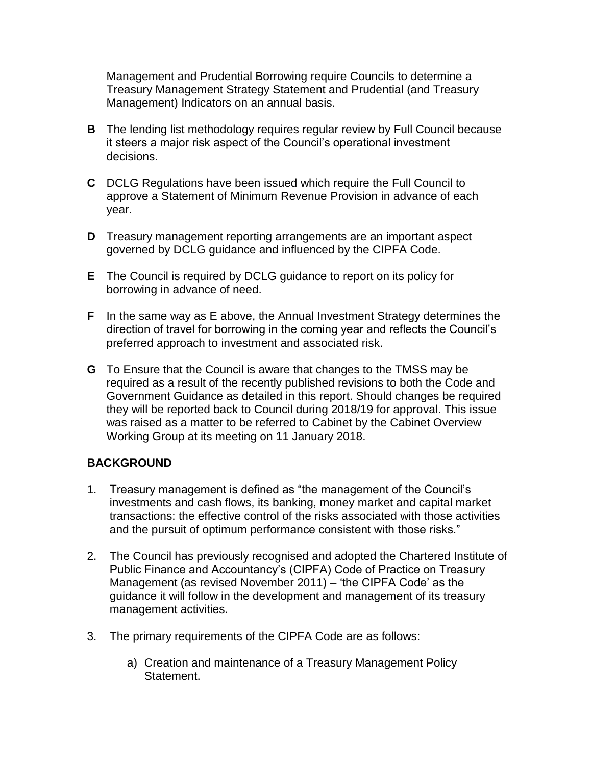Management and Prudential Borrowing require Councils to determine a Treasury Management Strategy Statement and Prudential (and Treasury Management) Indicators on an annual basis.

- **B** The lending list methodology requires regular review by Full Council because it steers a major risk aspect of the Council's operational investment decisions.
- **C** DCLG Regulations have been issued which require the Full Council to approve a Statement of Minimum Revenue Provision in advance of each year.
- **D** Treasury management reporting arrangements are an important aspect governed by DCLG guidance and influenced by the CIPFA Code.
- **E** The Council is required by DCLG guidance to report on its policy for borrowing in advance of need.
- **F** In the same way as E above, the Annual Investment Strategy determines the direction of travel for borrowing in the coming year and reflects the Council's preferred approach to investment and associated risk.
- **G** To Ensure that the Council is aware that changes to the TMSS may be required as a result of the recently published revisions to both the Code and Government Guidance as detailed in this report. Should changes be required they will be reported back to Council during 2018/19 for approval. This issue was raised as a matter to be referred to Cabinet by the Cabinet Overview Working Group at its meeting on 11 January 2018.

# **BACKGROUND**

- 1. Treasury management is defined as "the management of the Council's investments and cash flows, its banking, money market and capital market transactions: the effective control of the risks associated with those activities and the pursuit of optimum performance consistent with those risks."
- 2. The Council has previously recognised and adopted the Chartered Institute of Public Finance and Accountancy's (CIPFA) Code of Practice on Treasury Management (as revised November 2011) – 'the CIPFA Code' as the guidance it will follow in the development and management of its treasury management activities.
- 3. The primary requirements of the CIPFA Code are as follows:
	- a) Creation and maintenance of a Treasury Management Policy Statement.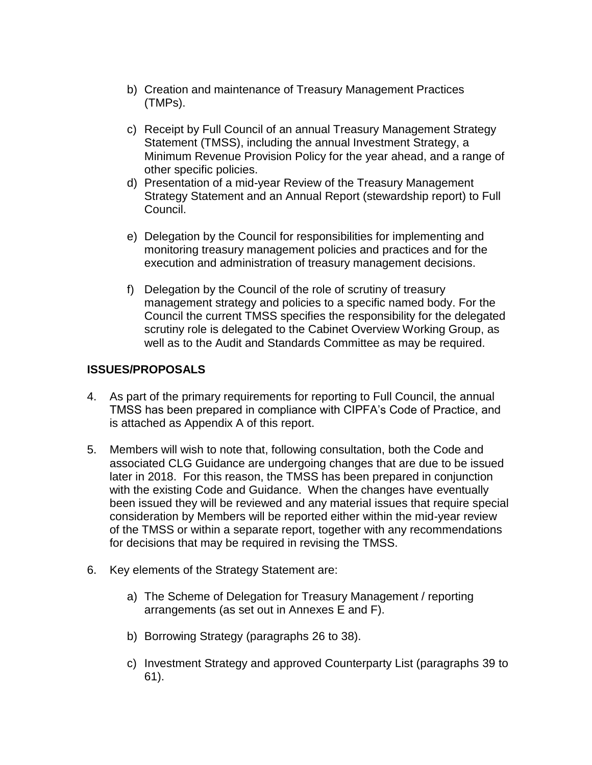- b) Creation and maintenance of Treasury Management Practices (TMPs).
- c) Receipt by Full Council of an annual Treasury Management Strategy Statement (TMSS), including the annual Investment Strategy, a Minimum Revenue Provision Policy for the year ahead, and a range of other specific policies.
- d) Presentation of a mid-year Review of the Treasury Management Strategy Statement and an Annual Report (stewardship report) to Full Council.
- e) Delegation by the Council for responsibilities for implementing and monitoring treasury management policies and practices and for the execution and administration of treasury management decisions.
- f) Delegation by the Council of the role of scrutiny of treasury management strategy and policies to a specific named body. For the Council the current TMSS specifies the responsibility for the delegated scrutiny role is delegated to the Cabinet Overview Working Group, as well as to the Audit and Standards Committee as may be required.

# **ISSUES/PROPOSALS**

- 4. As part of the primary requirements for reporting to Full Council, the annual TMSS has been prepared in compliance with CIPFA's Code of Practice, and is attached as Appendix A of this report.
- 5. Members will wish to note that, following consultation, both the Code and associated CLG Guidance are undergoing changes that are due to be issued later in 2018. For this reason, the TMSS has been prepared in conjunction with the existing Code and Guidance. When the changes have eventually been issued they will be reviewed and any material issues that require special consideration by Members will be reported either within the mid-year review of the TMSS or within a separate report, together with any recommendations for decisions that may be required in revising the TMSS.
- 6. Key elements of the Strategy Statement are:
	- a) The Scheme of Delegation for Treasury Management / reporting arrangements (as set out in Annexes E and F).
	- b) Borrowing Strategy (paragraphs 26 to 38).
	- c) Investment Strategy and approved Counterparty List (paragraphs 39 to 61).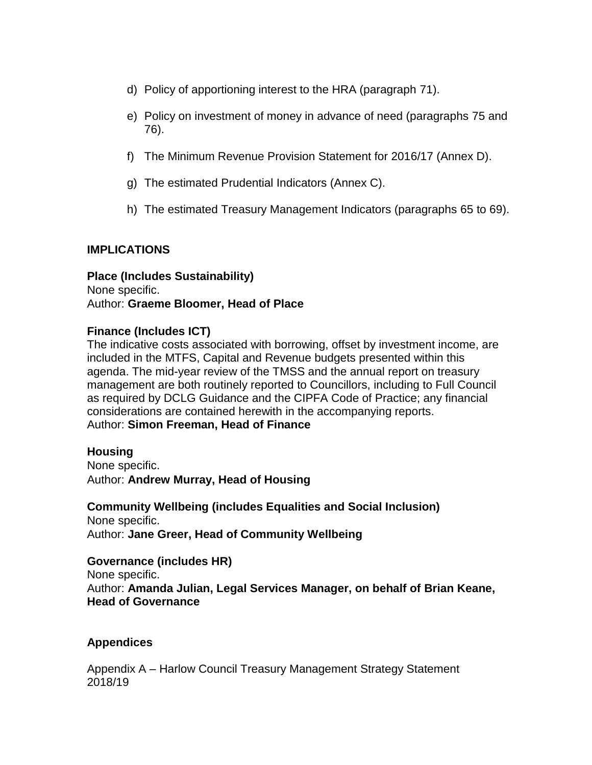- d) Policy of apportioning interest to the HRA (paragraph 71).
- e) Policy on investment of money in advance of need (paragraphs 75 and 76).
- f) The Minimum Revenue Provision Statement for 2016/17 (Annex D).
- g) The estimated Prudential Indicators (Annex C).
- h) The estimated Treasury Management Indicators (paragraphs 65 to 69).

## **IMPLICATIONS**

**Place (Includes Sustainability)** None specific. Author: **Graeme Bloomer, Head of Place**

#### **Finance (Includes ICT)**

The indicative costs associated with borrowing, offset by investment income, are included in the MTFS, Capital and Revenue budgets presented within this agenda. The mid-year review of the TMSS and the annual report on treasury management are both routinely reported to Councillors, including to Full Council as required by DCLG Guidance and the CIPFA Code of Practice; any financial considerations are contained herewith in the accompanying reports. Author: **Simon Freeman, Head of Finance**

#### **Housing**

None specific. Author: **Andrew Murray, Head of Housing**

**Community Wellbeing (includes Equalities and Social Inclusion)** None specific. Author: **Jane Greer, Head of Community Wellbeing**

**Governance (includes HR)** None specific. Author: **Amanda Julian, Legal Services Manager, on behalf of Brian Keane, Head of Governance**

## **Appendices**

Appendix A – Harlow Council Treasury Management Strategy Statement 2018/19